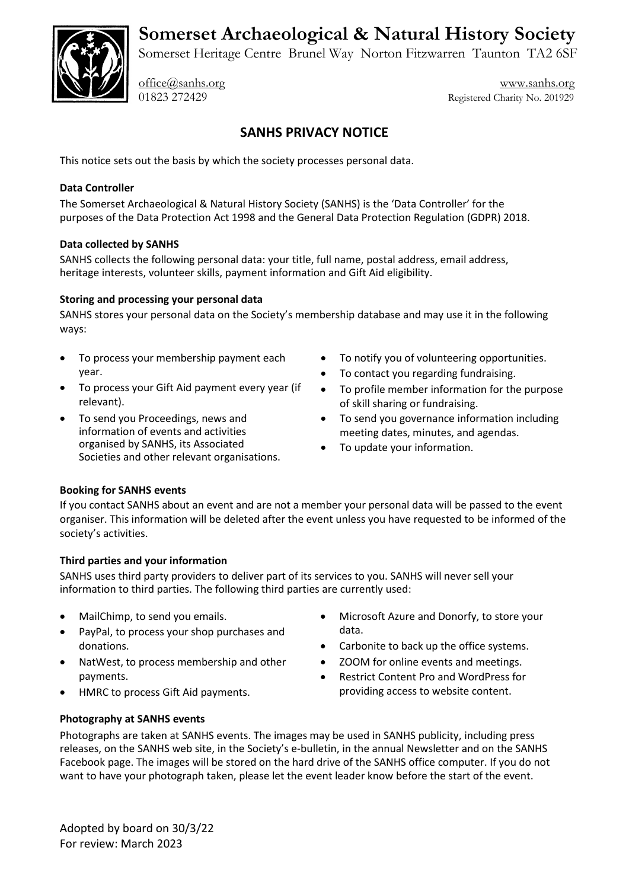**Somerset Archaeological & Natural History Society**



Somerset Heritage Centre Brunel Way Norton Fitzwarren Taunton TA2 6SF

[office@sanhs.org](mailto:office@sanhs.org) [www.sanhs.org](http://www.sanhs.org/) 01823 272429 Registered Charity No. 201929

# **SANHS PRIVACY NOTICE**

This notice sets out the basis by which the society processes personal data.

# **Data Controller**

The Somerset Archaeological & Natural History Society (SANHS) is the 'Data Controller' for the purposes of the Data Protection Act 1998 and the General Data Protection Regulation (GDPR) 2018.

#### **Data collected by SANHS**

SANHS collects the following personal data: your title, full name, postal address, email address, heritage interests, volunteer skills, payment information and Gift Aid eligibility.

#### **Storing and processing your personal data**

SANHS stores your personal data on the Society's membership database and may use it in the following ways:

- To process your membership payment each year.
- To process your Gift Aid payment every year (if relevant).
- To send you Proceedings, news and information of events and activities organised by SANHS, its Associated Societies and other relevant organisations.
- To notify you of volunteering opportunities.
- To contact you regarding fundraising.
- To profile member information for the purpose of skill sharing or fundraising.
- To send you governance information including meeting dates, minutes, and agendas.
- To update your information.

# **Booking for SANHS events**

If you contact SANHS about an event and are not a member your personal data will be passed to the event organiser. This information will be deleted after the event unless you have requested to be informed of the society's activities.

# **Third parties and your information**

SANHS uses third party providers to deliver part of its services to you. SANHS will never sell your information to third parties. The following third parties are currently used:

- MailChimp, to send you emails.
- PayPal, to process your shop purchases and donations.
- NatWest, to process membership and other payments.
- HMRC to process Gift Aid payments.
- Microsoft Azure and Donorfy, to store your data.
- Carbonite to back up the office systems.
- ZOOM for online events and meetings.
- Restrict Content Pro and WordPress for providing access to website content.

# **Photography at SANHS events**

Photographs are taken at SANHS events. The images may be used in SANHS publicity, including press releases, on the SANHS web site, in the Society's e-bulletin, in the annual Newsletter and on the SANHS Facebook page. The images will be stored on the hard drive of the SANHS office computer. If you do not want to have your photograph taken, please let the event leader know before the start of the event.